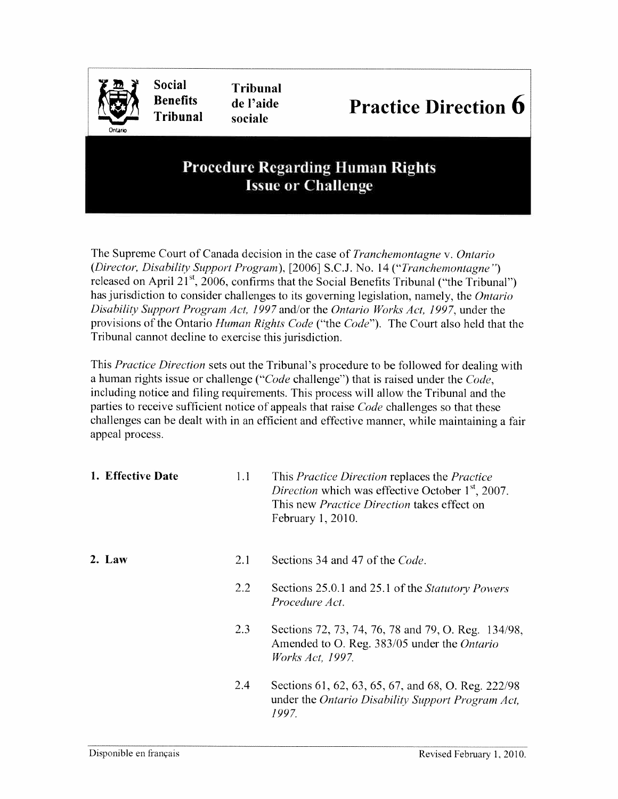

## Procedure Regarding Human Rights Issue or Challenge

The Supreme Court of Canada decision in the case of Tranchemontagne v. Ontario (Director, Disability Support Program), [2006] S.C.J. No. 14 ("Tranchemontagne ") released on April  $21<sup>st</sup>$ , 2006, confirms that the Social Benefits Tribunal ("the Tribunal") has jurisdiction to consider challenges to its governing legislation, namely, the Ontario Disability Support Program Act. 1997 and/or the Ontario Works Act, 1997, under the provisions of the Ontario Human Rights Code ("the Code"). The Court also held that the Tribunal cannot decline to exercise this jurisdiction.

This Practice Direction sets out the Tribunal's procedure to be followed for dealing with a human rights issue or challenge (" $Code$  challenge") that is raised under the  $Code$ , including notice and filing requirements. This process will allow the Tribunal and the parties to receive sufficient notice of appeals that raise *Code* challenges so that these challenges can be dealt with in an efficient and effective manner, while maintaining <sup>a</sup> fair appeal process.

| 1. Effective Date | 1.1 | This <i>Practice Direction</i> replaces the <i>Practice</i><br>Direction which was effective October 1 <sup>st</sup> , 2007.<br>This new <i>Practice Direction</i> takes effect on<br>February 1, 2010. |
|-------------------|-----|---------------------------------------------------------------------------------------------------------------------------------------------------------------------------------------------------------|
| $2.$ Law          | 2.1 | Sections 34 and 47 of the Code.                                                                                                                                                                         |
|                   | 2.2 | Sections 25.0.1 and 25.1 of the Statutory Powers<br>Procedure Act.                                                                                                                                      |
|                   | 2.3 | Sections 72, 73, 74, 76, 78 and 79, O. Reg. 134/98,<br>Amended to O. Reg. 383/05 under the Ontario<br><i>Works Act, 1997.</i>                                                                           |
|                   | 2.4 | Sections 61, 62, 63, 65, 67, and 68, O. Reg. 222/98<br>under the Ontario Disability Support Program Act,<br>1997.                                                                                       |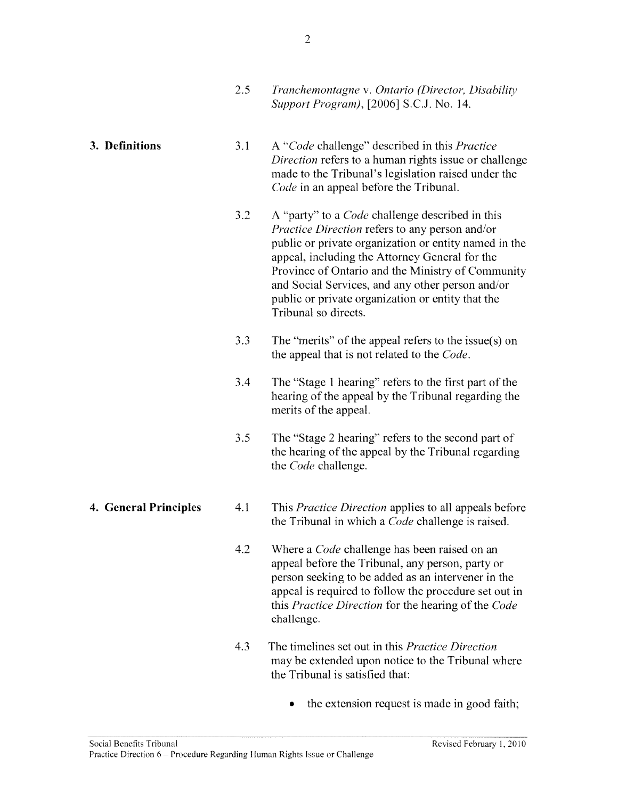Code in an appeal before the Tribunal.

## 3. **Definitions** 3.1 A "Code challenge" described in this *Practice* Direction refers to a human rights issue or challenge made to the Tribunal's legislation raised under the

3.2 A "party" to a *Code* challenge described in this Practice Direction refers to any person and/or public or private organization or entity named in the appeal, including the Attorney General for the Province of Ontario and the Ministry of Community and Social Services, and any other person and/or public or private organization or entity that the Tribunal so directs.

- 3.3 The "merits" of the appeal refers to the issue(s) on the appeal that is not related to the Code.
- 3.4 The "Stage 1 hearing" refers to the first par<sup>t</sup> of the hearing of the appeal by the Tribunal regarding the merits of the appeal.
- 3.5 The "Stage 2 hearing" refers to the second par<sup>t</sup> of the hearing of the appeal by the Tribunal regarding the Code challenge.
- 
- 4. General Principles 4.1 This *Practice Direction* applies to all appeals before the Tribunal in which <sup>a</sup> Code challenge is raised.
	- 4.2 Where a *Code* challenge has been raised on an appeal before the Tribunal, any person, party or person seeking to be added as an intervener in the appeal is required to follow the procedure set out in this Practice Direction for the hearing of the Code challenge.
	- 4.3 The timelines set out in this Practice Direction may be extended upon notice to the Tribunal where the Tribunal is satisfied that:
		- . the extension reques<sup>t</sup> is made in good faith;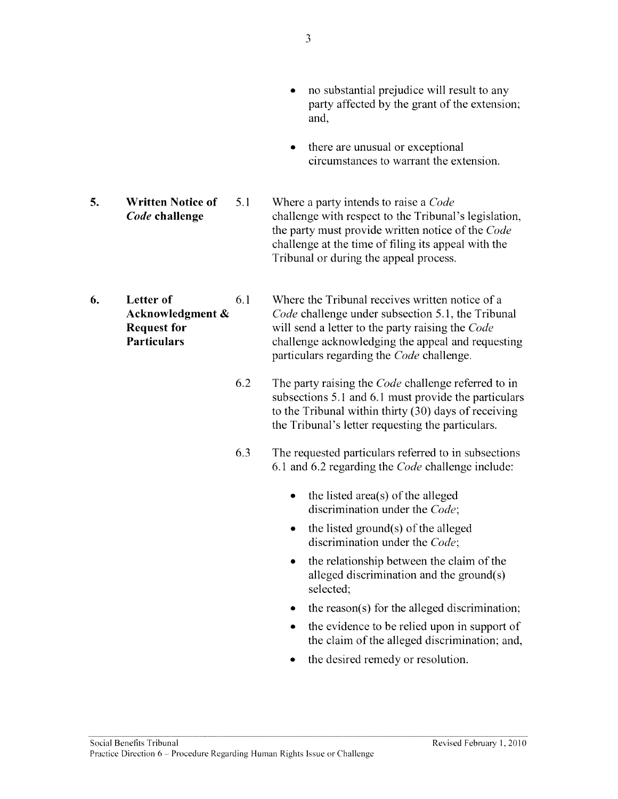- and, • there are unusual or exceptional circumstances to warrant the extension. 5. Written Notice of 5.1 Where a party intends to raise a Code Code challenge challenge with respect to the Tribunal's legislation, the party must provide written notice of the Code challenge at the time of filing its appeal with the Tribunal or during the appeal process. 6. Letter of 6.1 Where the Tribunal receives written notice of a Acknowledgment  $\&$  Code challenge under subsection 5.1, the Tribunal **Request for** will send a letter to the party raising the Code **Particulars** challenge acknowledging the appeal and requesting particulars regarding the Code challenge. 6.2 The party raising the Code challenge referred to in subsections 5.1 and 6.1 must provide the particulars to the Tribunal within thirty (30) days of receiving the Tribunal's letter requesting the particulars.
	- 6.3 The requested particulars referred to in subsections 6.1 and 6.2 regarding the Code challenge include:
		- the listed area(s) of the alleged discrimination under the Code;
		- the listed ground(s) of the alleged discrimination under the Code;
		- the relationship between the claim of the alleged discrimination and the ground(s) selected;
		- •the reason(s) for the alleged discrimination;
		- • the evidence to be relied upon in suppor<sup>t</sup> of the claim of the alleged discrimination; and,
		- •the desired remedy or resolution.

• no substantial prejudice will result to any party affected by the gran<sup>t</sup> of the extension;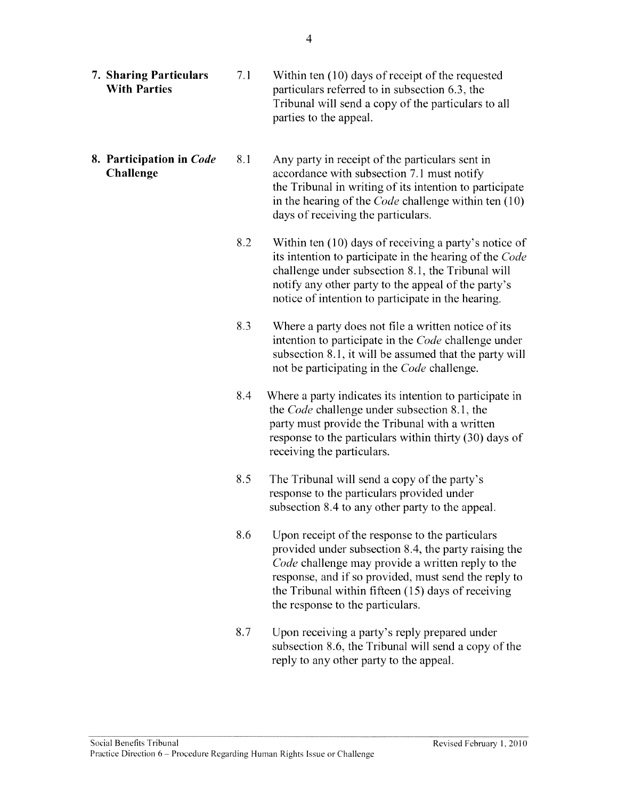| <b>7. Sharing Particulars</b><br><b>With Parties</b> | 7.1 | Within ten (10) days of receipt of the requested<br>particulars referred to in subsection 6.3, the<br>Tribunal will send a copy of the particulars to all<br>parties to the appeal.                                                                                                                            |
|------------------------------------------------------|-----|----------------------------------------------------------------------------------------------------------------------------------------------------------------------------------------------------------------------------------------------------------------------------------------------------------------|
| 8. Participation in Code<br><b>Challenge</b>         | 8.1 | Any party in receipt of the particulars sent in<br>accordance with subsection 7.1 must notify<br>the Tribunal in writing of its intention to participate<br>in the hearing of the <i>Code</i> challenge within ten (10)<br>days of receiving the particulars.                                                  |
|                                                      | 8.2 | Within ten (10) days of receiving a party's notice of<br>its intention to participate in the hearing of the Code<br>challenge under subsection 8.1, the Tribunal will<br>notify any other party to the appeal of the party's<br>notice of intention to participate in the hearing.                             |
|                                                      | 8.3 | Where a party does not file a written notice of its<br>intention to participate in the Code challenge under<br>subsection 8.1, it will be assumed that the party will<br>not be participating in the <i>Code</i> challenge.                                                                                    |
|                                                      | 8.4 | Where a party indicates its intention to participate in<br>the <i>Code</i> challenge under subsection 8.1, the<br>party must provide the Tribunal with a written<br>response to the particulars within thirty (30) days of<br>receiving the particulars.                                                       |
|                                                      | 8.5 | The Tribunal will send a copy of the party's<br>response to the particulars provided under<br>subsection 8.4 to any other party to the appeal.                                                                                                                                                                 |
|                                                      | 8.6 | Upon receipt of the response to the particulars<br>provided under subsection 8.4, the party raising the<br>Code challenge may provide a written reply to the<br>response, and if so provided, must send the reply to<br>the Tribunal within fifteen (15) days of receiving<br>the response to the particulars. |
|                                                      | 8.7 | Upon receiving a party's reply prepared under<br>subsection 8.6, the Tribunal will send a copy of the<br>reply to any other party to the appeal.                                                                                                                                                               |
|                                                      |     |                                                                                                                                                                                                                                                                                                                |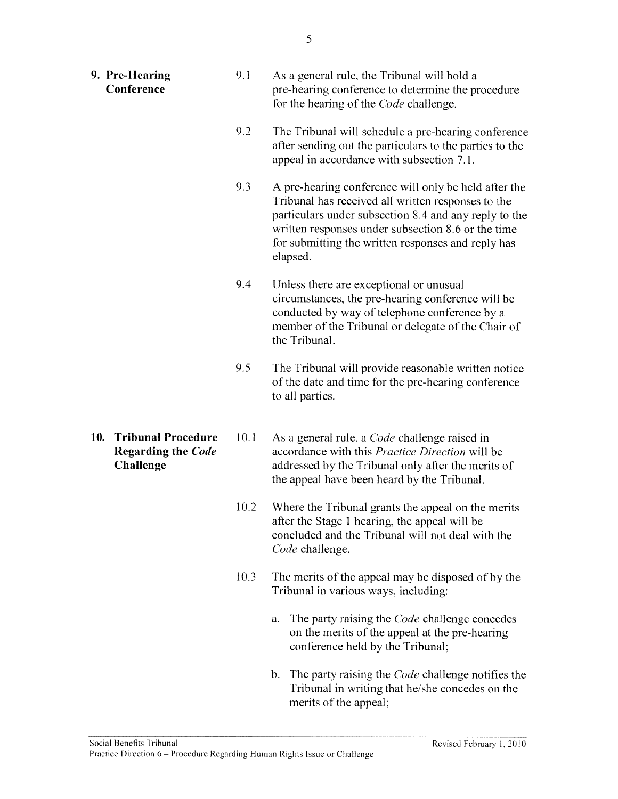| 9. Pre-Hearing<br>Conference                                               | 9.1  | As a general rule, the Tribunal will hold a<br>pre-hearing conference to determine the procedure<br>for the hearing of the <i>Code</i> challenge.                                                                                                                                           |
|----------------------------------------------------------------------------|------|---------------------------------------------------------------------------------------------------------------------------------------------------------------------------------------------------------------------------------------------------------------------------------------------|
|                                                                            | 9.2  | The Tribunal will schedule a pre-hearing conference<br>after sending out the particulars to the parties to the<br>appeal in accordance with subsection 7.1.                                                                                                                                 |
|                                                                            | 9.3  | A pre-hearing conference will only be held after the<br>Tribunal has received all written responses to the<br>particulars under subsection 8.4 and any reply to the<br>written responses under subsection 8.6 or the time<br>for submitting the written responses and reply has<br>elapsed. |
|                                                                            | 9.4  | Unless there are exceptional or unusual<br>circumstances, the pre-hearing conference will be<br>conducted by way of telephone conference by a<br>member of the Tribunal or delegate of the Chair of<br>the Tribunal.                                                                        |
|                                                                            | 9.5  | The Tribunal will provide reasonable written notice<br>of the date and time for the pre-hearing conference<br>to all parties.                                                                                                                                                               |
| 10.<br><b>Tribunal Procedure</b><br><b>Regarding the Code</b><br>Challenge | 10.1 | As a general rule, a <i>Code</i> challenge raised in<br>accordance with this Practice Direction will be<br>addressed by the Tribunal only after the merits of<br>the appeal have been heard by the Tribunal.                                                                                |
|                                                                            | 10.2 | Where the Tribunal grants the appeal on the merits<br>after the Stage 1 hearing, the appeal will be<br>concluded and the Tribunal will not deal with the<br>Code challenge.                                                                                                                 |
|                                                                            | 10.3 | The merits of the appeal may be disposed of by the<br>Tribunal in various ways, including:                                                                                                                                                                                                  |
|                                                                            |      | The party raising the <i>Code</i> challenge concedes<br>a.<br>on the merits of the appeal at the pre-hearing<br>conference held by the Tribunal;                                                                                                                                            |

b. The party raising the Code challenge notifies the Tribunal in writing that he/she concedes on the merits of the appeal;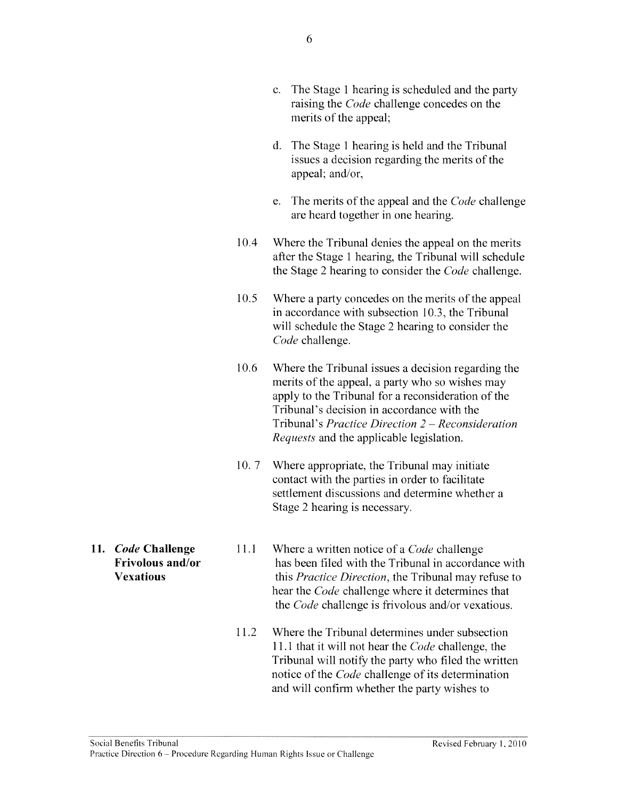- c. The Stage I hearing is scheduled and the party raising the Code challenge concedes on the merits of the appeal;
- d. The Stage I hearing is held and the Tribunal issues <sup>a</sup> decision regarding the merits of the appeal; and/or.
- e. The merits of the appeal and the Code challenge are heard together in one hearing.
- 10.4 Where the Tribunal denies the appeal on the merits after the Stage 1 hearing, the Tribunal will schedule the Stage 2 hearing to consider the *Code* challenge.
- 10.5 Where <sup>a</sup> party concedes on the merits of the appeal in accordance with subsection 10.3, the Tribunal will schedule the Stage 2 hearing to consider the Code challenge.
- 10.6 Where the Tribunal issues <sup>a</sup> decision regarding the merits of the appeal, <sup>a</sup> party who so wishes may apply to the Tribunal for <sup>a</sup> reconsideration of the Tribunal's decision in accordance with the Tribunal's Practice Direction 2 — Reconsideration Requests and the applicable legislation.
- 10. 7 Where appropriate, the Tribunal may initiate contact with the parties in order to facilitate settlement discussions and determine whether <sup>a</sup> Stage 2 hearing is necessary.
- 
- 11. Code Challenge 11.1 Where a written notice of a Code challenge Frivolous and/or has been filed with the Tribunal in accordance with Vexatious this *Practice Direction*, the Tribunal may refuse to hear the Code challenge where it determines that the Code challenge is frivolous and/or vexatious.
	- 11.2 Where the Tribunal determines under subsection 11.1 that it will not hear the *Code* challenge, the Tribunal will notify the party who filed the written notice of the *Code* challenge of its determination and will confirm whether the party wishes to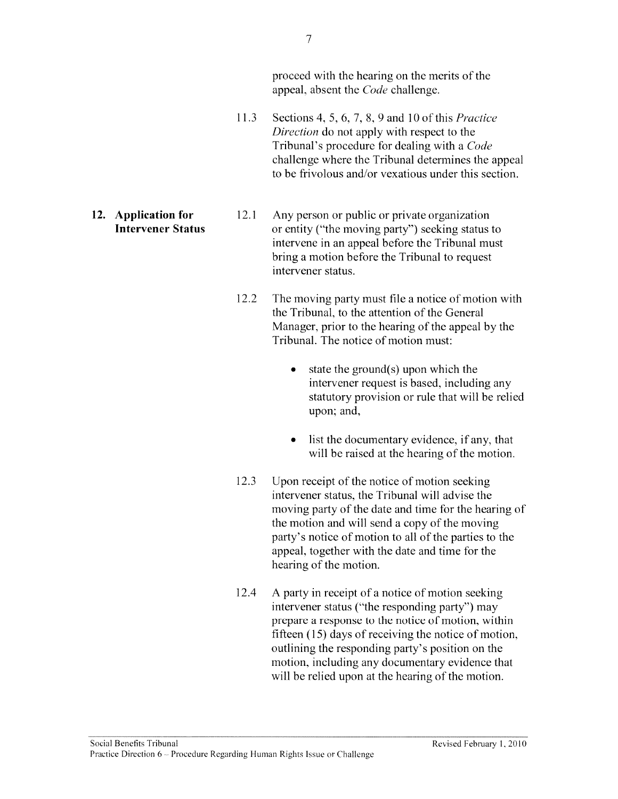proceed with the hearing on the merits of the appeal, absent the Code challenge.

- 11.3 Sections 4, 5, 6, 7, 8, 9 and 10 of this Practice Direction do not apply with respec<sup>t</sup> to the Tribunal's procedure for dealing with <sup>a</sup> Code challenge where the Tribunal determines the appeal to be frivolous and/or vexatious under this section.
- 
- 12. Application for 12.1 Any person or public or private organization Intervener Status or entity ("the moving party") seeking status to intervene in an appeal before the Tribunal must bring <sup>a</sup> motion before the Tribunal to reques<sup>t</sup> intervener status.
	- 12.2 The moving party must file <sup>a</sup> notice of motion with the Tribunal, to the attention of the General Manager, prior to the hearing of the appeal by the Tribunal. The notice of motion must:
		- • state the ground(s) upon which the intervener reques<sup>t</sup> is based, including any statutory provision or rule that will be relied upon; and,
		- • list the documentary evidence, if any, that will be raised at the hearing of the motion.
	- 12.3 Upon receipt of the notice of motion seeking intervener status, the Tribunal will advise the moving party of the date and time for the hearing of the motion and will send <sup>a</sup> copy of the moving party's notice of motion to all of the parties to the appeal, together with the date and time for the hearing of the motion.
	- 12.4 A party in receipt of <sup>a</sup> notice of motion seeking intervener status ("the responding party") may prepare <sup>a</sup> response to the notice of motion, within fifteen  $(15)$  days of receiving the notice of motion, outlining the responding party's position on the motion, including any documentary evidence that will be relied upon at the hearing of the motion.